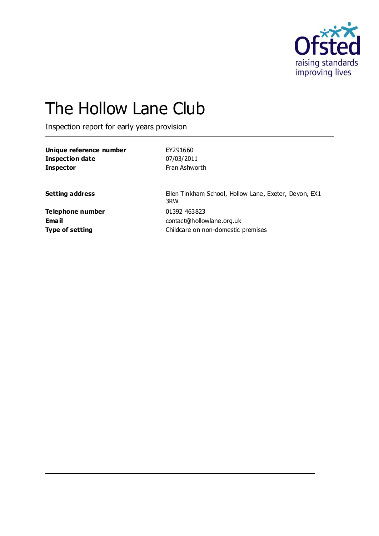

# The Hollow Lane Club

Inspection report for early years provision

| Unique reference number | EY291660      |
|-------------------------|---------------|
| Inspection date         | 07/03/2011    |
| <b>Inspector</b>        | Fran Ashworth |

**Setting address** Ellen Tinkham School, Hollow Lane, Exeter, Devon, EX1 3RW **Email** contact@hollowlane.org.uk **Type of setting Childcare on non-domestic premises** 

**Telephone number** 01392 463823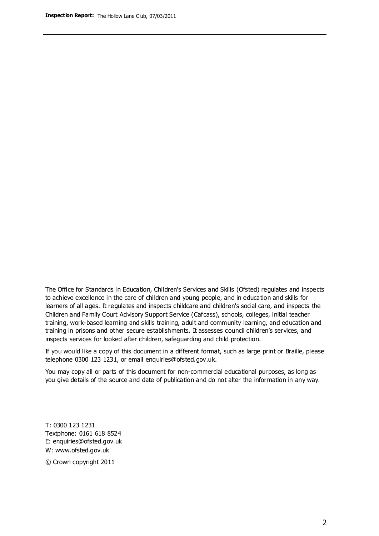The Office for Standards in Education, Children's Services and Skills (Ofsted) regulates and inspects to achieve excellence in the care of children and young people, and in education and skills for learners of all ages. It regulates and inspects childcare and children's social care, and inspects the Children and Family Court Advisory Support Service (Cafcass), schools, colleges, initial teacher training, work-based learning and skills training, adult and community learning, and education and training in prisons and other secure establishments. It assesses council children's services, and inspects services for looked after children, safeguarding and child protection.

If you would like a copy of this document in a different format, such as large print or Braille, please telephone 0300 123 1231, or email enquiries@ofsted.gov.uk.

You may copy all or parts of this document for non-commercial educational purposes, as long as you give details of the source and date of publication and do not alter the information in any way.

T: 0300 123 1231 Textphone: 0161 618 8524 E: enquiries@ofsted.gov.uk W: [www.ofsted.gov.uk](http://www.ofsted.gov.uk/)

© Crown copyright 2011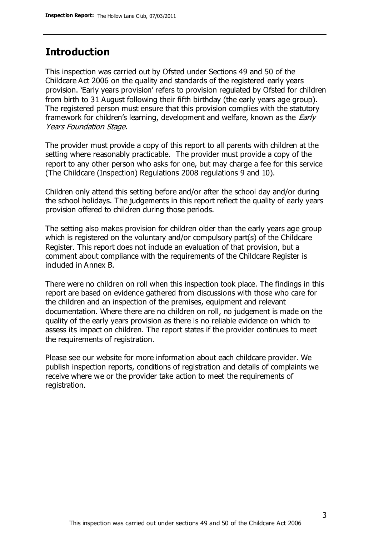#### **Introduction**

This inspection was carried out by Ofsted under Sections 49 and 50 of the Childcare Act 2006 on the quality and standards of the registered early years provision. 'Early years provision' refers to provision regulated by Ofsted for children from birth to 31 August following their fifth birthday (the early years age group). The registered person must ensure that this provision complies with the statutory framework for children's learning, development and welfare, known as the *Early* Years Foundation Stage.

The provider must provide a copy of this report to all parents with children at the setting where reasonably practicable. The provider must provide a copy of the report to any other person who asks for one, but may charge a fee for this service (The Childcare (Inspection) Regulations 2008 regulations 9 and 10).

Children only attend this setting before and/or after the school day and/or during the school holidays. The judgements in this report reflect the quality of early years provision offered to children during those periods.

The setting also makes provision for children older than the early years age group which is registered on the voluntary and/or compulsory part(s) of the Childcare Register. This report does not include an evaluation of that provision, but a comment about compliance with the requirements of the Childcare Register is included in Annex B.

There were no children on roll when this inspection took place. The findings in this report are based on evidence gathered from discussions with those who care for the children and an inspection of the premises, equipment and relevant documentation. Where there are no children on roll, no judgement is made on the quality of the early years provision as there is no reliable evidence on which to assess its impact on children. The report states if the provider continues to meet the requirements of registration.

Please see our website for more information about each childcare provider. We publish inspection reports, conditions of registration and details of complaints we receive where we or the provider take action to meet the requirements of registration.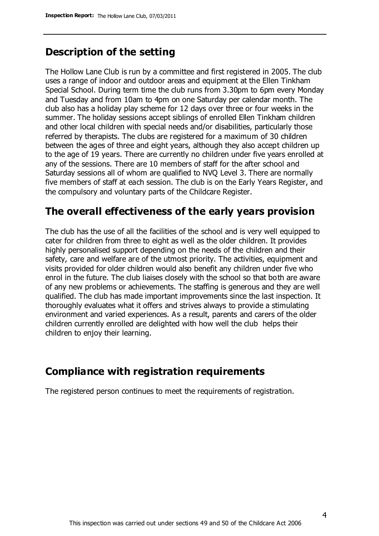#### **Description of the setting**

The Hollow Lane Club is run by a committee and first registered in 2005. The club uses a range of indoor and outdoor areas and equipment at the Ellen Tinkham Special School. During term time the club runs from 3.30pm to 6pm every Monday and Tuesday and from 10am to 4pm on one Saturday per calendar month. The club also has a holiday play scheme for 12 days over three or four weeks in the summer. The holiday sessions accept siblings of enrolled Ellen Tinkham children and other local children with special needs and/or disabilities, particularly those referred by therapists. The clubs are registered for a maximum of 30 children between the ages of three and eight years, although they also accept children up to the age of 19 years. There are currently no children under five years enrolled at any of the sessions. There are 10 members of staff for the after school and Saturday sessions all of whom are qualified to NVQ Level 3. There are normally five members of staff at each session. The club is on the Early Years Register, and the compulsory and voluntary parts of the Childcare Register.

#### **The overall effectiveness of the early years provision**

The club has the use of all the facilities of the school and is very well equipped to cater for children from three to eight as well as the older children. It provides highly personalised support depending on the needs of the children and their safety, care and welfare are of the utmost priority. The activities, equipment and visits provided for older children would also benefit any children under five who enrol in the future. The club liaises closely with the school so that both are aware of any new problems or achievements. The staffing is generous and they are well qualified. The club has made important improvements since the last inspection. It thoroughly evaluates what it offers and strives always to provide a stimulating environment and varied experiences. As a result, parents and carers of the older children currently enrolled are delighted with how well the club helps their children to enjoy their learning.

### **Compliance with registration requirements**

The registered person continues to meet the requirements of registration.